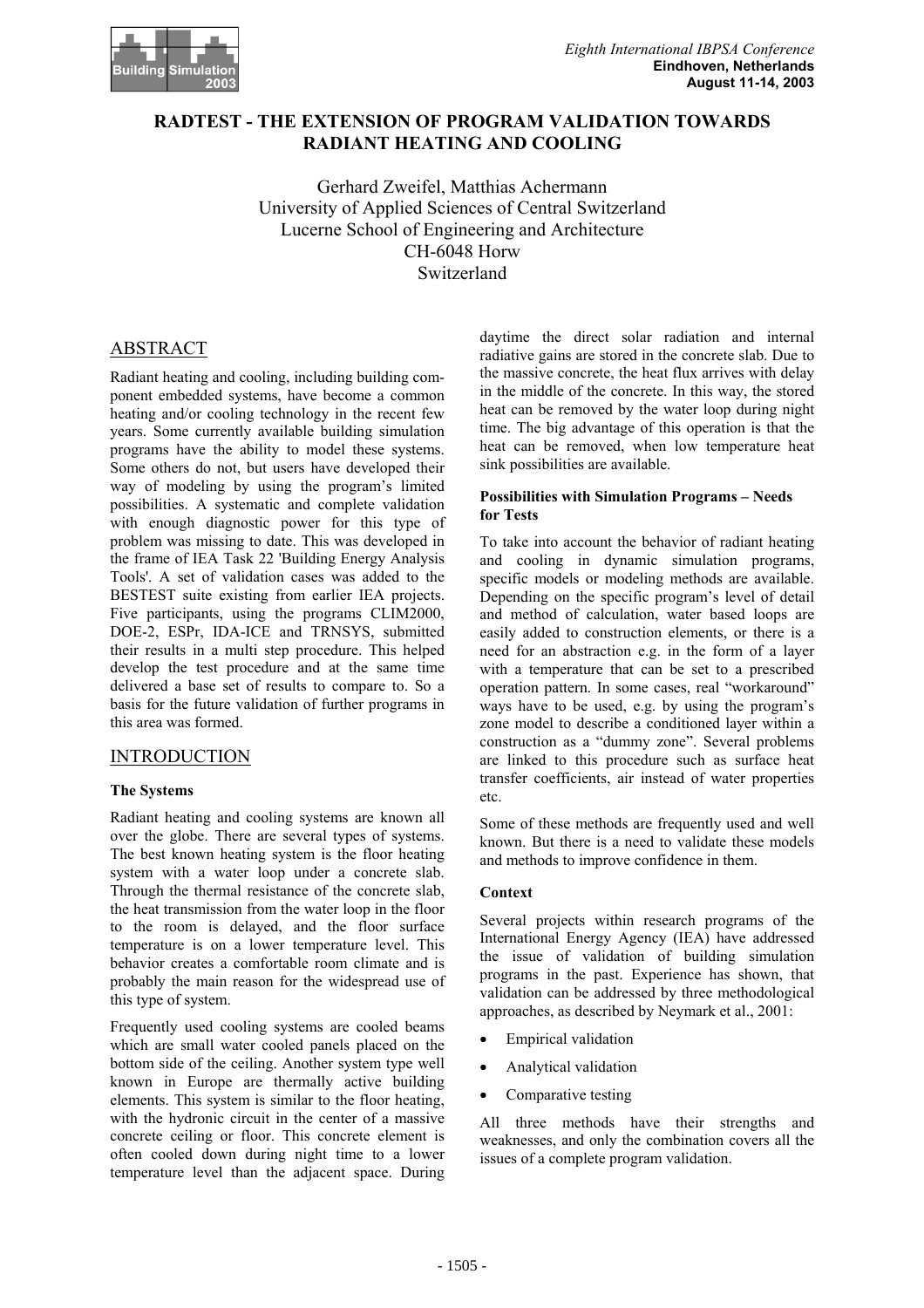

## **RADTEST - THE EXTENSION OF PROGRAM VALIDATION TOWARDS RADIANT HEATING AND COOLING**

Gerhard Zweifel, Matthias Achermann University of Applied Sciences of Central Switzerland Lucerne School of Engineering and Architecture CH-6048 Horw Switzerland

# ABSTRACT

Radiant heating and cooling, including building component embedded systems, have become a common heating and/or cooling technology in the recent few years. Some currently available building simulation programs have the ability to model these systems. Some others do not, but users have developed their way of modeling by using the program's limited possibilities. A systematic and complete validation with enough diagnostic power for this type of problem was missing to date. This was developed in the frame of IEA Task 22 'Building Energy Analysis Tools'. A set of validation cases was added to the BESTEST suite existing from earlier IEA projects. Five participants, using the programs CLIM2000, DOE-2, ESPr, IDA-ICE and TRNSYS, submitted their results in a multi step procedure. This helped develop the test procedure and at the same time delivered a base set of results to compare to. So a basis for the future validation of further programs in this area was formed.

## INTRODUCTION

### **The Systems**

Radiant heating and cooling systems are known all over the globe. There are several types of systems. The best known heating system is the floor heating system with a water loop under a concrete slab. Through the thermal resistance of the concrete slab, the heat transmission from the water loop in the floor to the room is delayed, and the floor surface temperature is on a lower temperature level. This behavior creates a comfortable room climate and is probably the main reason for the widespread use of this type of system.

Frequently used cooling systems are cooled beams which are small water cooled panels placed on the bottom side of the ceiling. Another system type well known in Europe are thermally active building elements. This system is similar to the floor heating, with the hydronic circuit in the center of a massive concrete ceiling or floor. This concrete element is often cooled down during night time to a lower temperature level than the adjacent space. During

daytime the direct solar radiation and internal radiative gains are stored in the concrete slab. Due to the massive concrete, the heat flux arrives with delay in the middle of the concrete. In this way, the stored heat can be removed by the water loop during night time. The big advantage of this operation is that the heat can be removed, when low temperature heat sink possibilities are available.

#### **Possibilities with Simulation Programs – Needs for Tests**

To take into account the behavior of radiant heating and cooling in dynamic simulation programs, specific models or modeling methods are available. Depending on the specific program's level of detail and method of calculation, water based loops are easily added to construction elements, or there is a need for an abstraction e.g. in the form of a layer with a temperature that can be set to a prescribed operation pattern. In some cases, real "workaround" ways have to be used, e.g. by using the program's zone model to describe a conditioned layer within a construction as a "dummy zone". Several problems are linked to this procedure such as surface heat transfer coefficients, air instead of water properties etc.

Some of these methods are frequently used and well known. But there is a need to validate these models and methods to improve confidence in them.

#### **Context**

Several projects within research programs of the International Energy Agency (IEA) have addressed the issue of validation of building simulation programs in the past. Experience has shown, that validation can be addressed by three methodological approaches, as described by Neymark et al., 2001:

- **Empirical validation**
- Analytical validation
- Comparative testing

All three methods have their strengths and weaknesses, and only the combination covers all the issues of a complete program validation.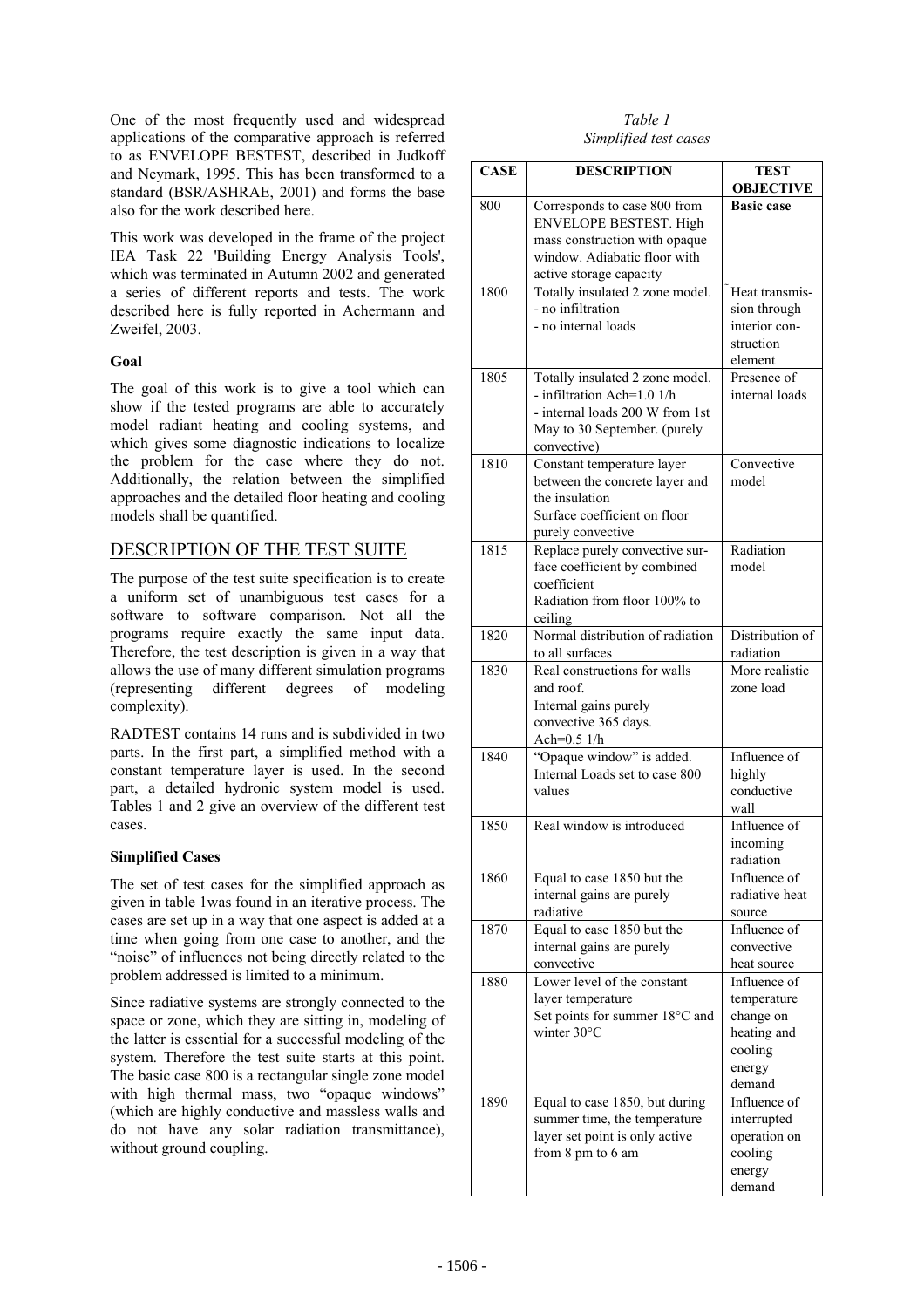One of the most frequently used and widespread applications of the comparative approach is referred to as ENVELOPE BESTEST, described in Judkoff and Neymark, 1995. This has been transformed to a standard (BSR/ASHRAE, 2001) and forms the base also for the work described here.

This work was developed in the frame of the project IEA Task 22 'Building Energy Analysis Tools', which was terminated in Autumn 2002 and generated a series of different reports and tests. The work described here is fully reported in Achermann and Zweifel, 2003.

### **Goal**

The goal of this work is to give a tool which can show if the tested programs are able to accurately model radiant heating and cooling systems, and which gives some diagnostic indications to localize the problem for the case where they do not. Additionally, the relation between the simplified approaches and the detailed floor heating and cooling models shall be quantified.

# DESCRIPTION OF THE TEST SUITE

The purpose of the test suite specification is to create a uniform set of unambiguous test cases for a software to software comparison. Not all the programs require exactly the same input data. Therefore, the test description is given in a way that allows the use of many different simulation programs (representing different degrees of modeling complexity).

RADTEST contains 14 runs and is subdivided in two parts. In the first part, a simplified method with a constant temperature layer is used. In the second part, a detailed hydronic system model is used. Tables 1 and 2 give an overview of the different test cases.

## **Simplified Cases**

The set of test cases for the simplified approach as given in table 1was found in an iterative process. The cases are set up in a way that one aspect is added at a time when going from one case to another, and the "noise" of influences not being directly related to the problem addressed is limited to a minimum.

Since radiative systems are strongly connected to the space or zone, which they are sitting in, modeling of the latter is essential for a successful modeling of the system. Therefore the test suite starts at this point. The basic case 800 is a rectangular single zone model with high thermal mass, two "opaque windows" (which are highly conductive and massless walls and do not have any solar radiation transmittance), without ground coupling.

*Table 1 Simplified test cases* 

| <b>CASE</b> | <b>DESCRIPTION</b>                                                                                                                              | <b>TEST</b><br><b>OBJECTIVE</b>                                                        |
|-------------|-------------------------------------------------------------------------------------------------------------------------------------------------|----------------------------------------------------------------------------------------|
| 800         | Corresponds to case 800 from<br><b>ENVELOPE BESTEST. High</b><br>mass construction with opaque<br>window. Adiabatic floor with                  | <b>Basic case</b>                                                                      |
|             | active storage capacity                                                                                                                         |                                                                                        |
| 1800        | Totally insulated 2 zone model.<br>- no infiltration<br>- no internal loads                                                                     | Heat transmis-<br>sion through<br>interior con-<br>struction<br>element                |
| 1805        | Totally insulated 2 zone model.<br>- infiltration Ach=1.0 1/h<br>- internal loads 200 W from 1st<br>May to 30 September. (purely<br>convective) | Presence of<br>internal loads                                                          |
| 1810        | Constant temperature layer<br>between the concrete layer and<br>the insulation<br>Surface coefficient on floor<br>purely convective             | Convective<br>model                                                                    |
| 1815        | Replace purely convective sur-<br>face coefficient by combined<br>coefficient<br>Radiation from floor 100% to<br>ceiling                        | Radiation<br>model                                                                     |
| 1820        | Normal distribution of radiation<br>to all surfaces                                                                                             | Distribution of<br>radiation                                                           |
| 1830        | Real constructions for walls<br>and roof.<br>Internal gains purely<br>convective 365 days.<br>Ach=0.5 1/h                                       | More realistic<br>zone load                                                            |
| 1840        | "Opaque window" is added.<br>Internal Loads set to case 800<br>values                                                                           | Influence of<br>highly<br>conductive<br>wall                                           |
| 1850        | Real window is introduced                                                                                                                       | Influence of<br>incoming<br>radiation                                                  |
| 1860        | Equal to case 1850 but the<br>internal gains are purely<br>radiative                                                                            | Influence of<br>radiative heat<br>source                                               |
| 1870        | Equal to case 1850 but the<br>internal gains are purely<br>convective                                                                           | Influence of<br>convective<br>heat source                                              |
| 1880        | Lower level of the constant<br>layer temperature<br>Set points for summer 18°C and<br>winter $30^{\circ}$ C                                     | Influence of<br>temperature<br>change on<br>heating and<br>cooling<br>energy<br>demand |
| 1890        | Equal to case 1850, but during<br>summer time, the temperature<br>layer set point is only active<br>from 8 pm to 6 am                           | Influence of<br>interrupted<br>operation on<br>cooling<br>energy<br>demand             |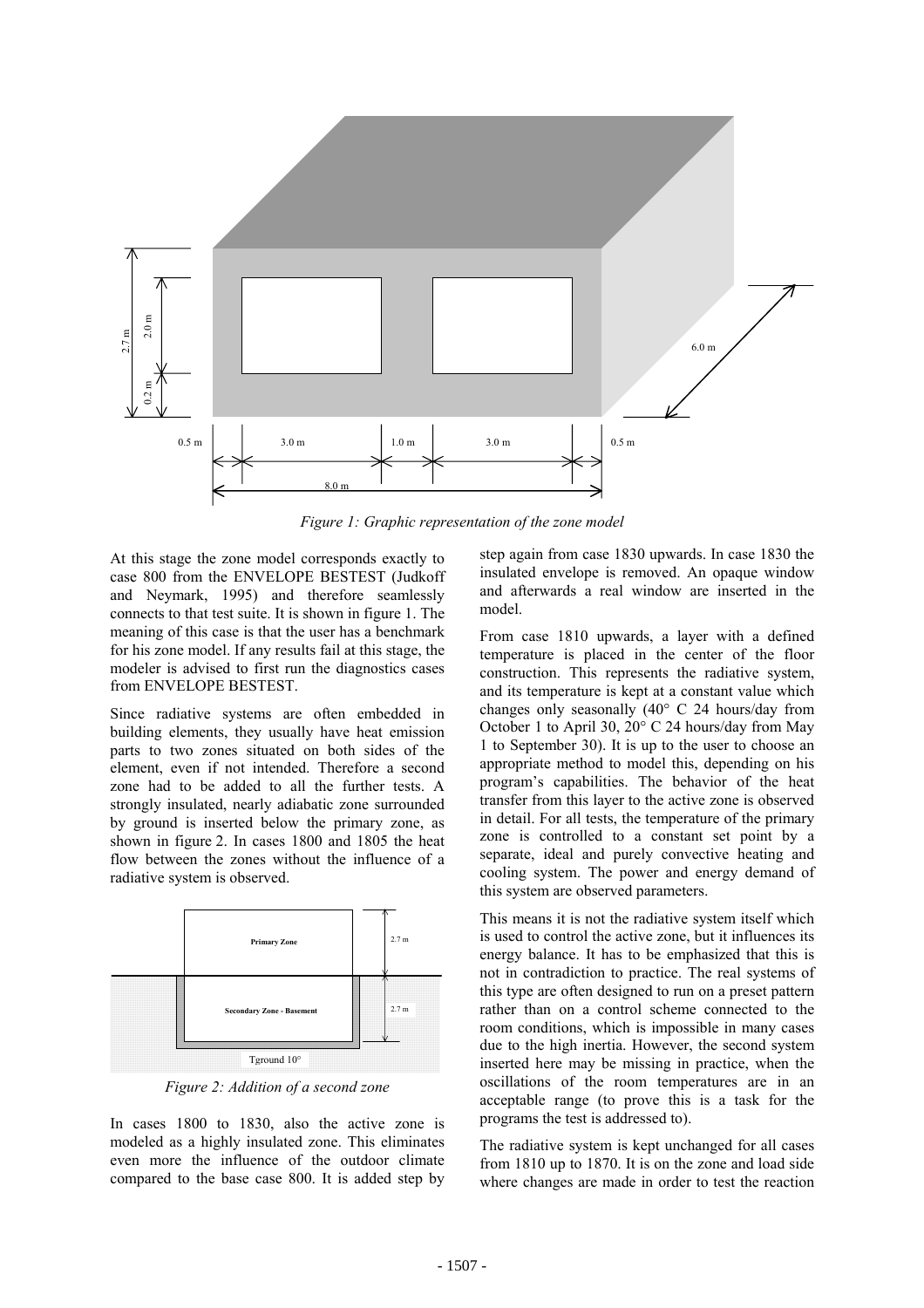

*Figure 1: Graphic representation of the zone model* 

At this stage the zone model corresponds exactly to case 800 from the ENVELOPE BESTEST (Judkoff and Neymark, 1995) and therefore seamlessly connects to that test suite. It is shown in figure 1. The meaning of this case is that the user has a benchmark for his zone model. If any results fail at this stage, the modeler is advised to first run the diagnostics cases from ENVELOPE BESTEST.

Since radiative systems are often embedded in building elements, they usually have heat emission parts to two zones situated on both sides of the element, even if not intended. Therefore a second zone had to be added to all the further tests. A strongly insulated, nearly adiabatic zone surrounded by ground is inserted below the primary zone, as shown in figure 2. In cases 1800 and 1805 the heat flow between the zones without the influence of a radiative system is observed.



*Figure 2: Addition of a second zone* 

In cases 1800 to 1830, also the active zone is modeled as a highly insulated zone. This eliminates even more the influence of the outdoor climate compared to the base case 800. It is added step by step again from case 1830 upwards. In case 1830 the insulated envelope is removed. An opaque window and afterwards a real window are inserted in the model.

From case 1810 upwards, a layer with a defined temperature is placed in the center of the floor construction. This represents the radiative system, and its temperature is kept at a constant value which changes only seasonally (40° C 24 hours/day from October 1 to April 30, 20° C 24 hours/day from May 1 to September 30). It is up to the user to choose an appropriate method to model this, depending on his program's capabilities. The behavior of the heat transfer from this layer to the active zone is observed in detail. For all tests, the temperature of the primary zone is controlled to a constant set point by a separate, ideal and purely convective heating and cooling system. The power and energy demand of this system are observed parameters.

This means it is not the radiative system itself which is used to control the active zone, but it influences its energy balance. It has to be emphasized that this is not in contradiction to practice. The real systems of this type are often designed to run on a preset pattern rather than on a control scheme connected to the room conditions, which is impossible in many cases due to the high inertia. However, the second system inserted here may be missing in practice, when the oscillations of the room temperatures are in an acceptable range (to prove this is a task for the programs the test is addressed to).

The radiative system is kept unchanged for all cases from 1810 up to 1870. It is on the zone and load side where changes are made in order to test the reaction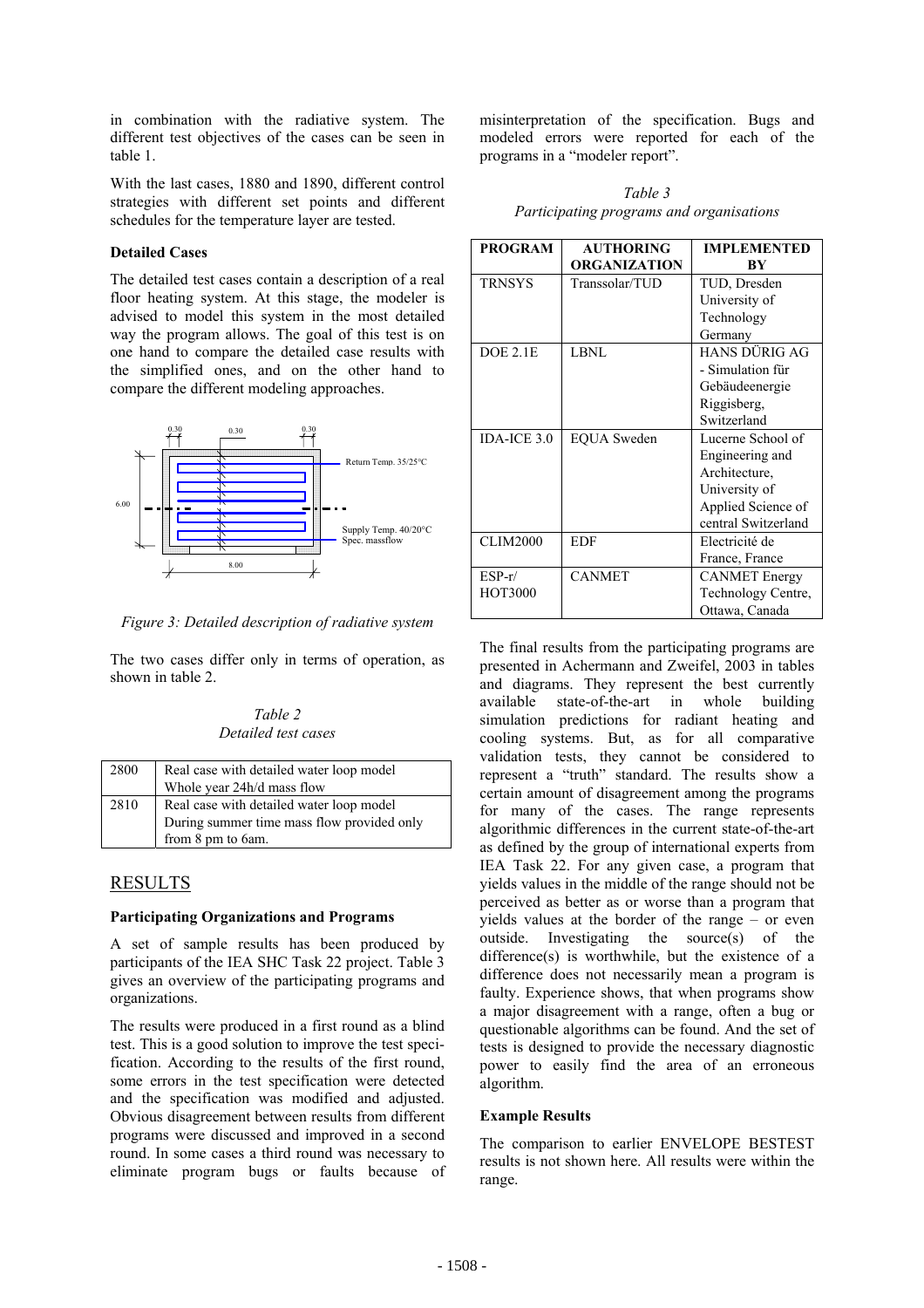in combination with the radiative system. The different test objectives of the cases can be seen in table 1.

With the last cases, 1880 and 1890, different control strategies with different set points and different schedules for the temperature layer are tested.

#### **Detailed Cases**

The detailed test cases contain a description of a real floor heating system. At this stage, the modeler is advised to model this system in the most detailed way the program allows. The goal of this test is on one hand to compare the detailed case results with the simplified ones, and on the other hand to compare the different modeling approaches.



*Figure 3: Detailed description of radiative system* 

The two cases differ only in terms of operation, as shown in table 2.

### *Table 2 Detailed test cases*

| 2800 | Real case with detailed water loop model<br>Whole year 24h/d mass flow |
|------|------------------------------------------------------------------------|
| 2810 | Real case with detailed water loop model                               |
|      | During summer time mass flow provided only<br>from 8 pm to 6am.        |

# RESULTS

### **Participating Organizations and Programs**

A set of sample results has been produced by participants of the IEA SHC Task 22 project. Table 3 gives an overview of the participating programs and organizations.

The results were produced in a first round as a blind test. This is a good solution to improve the test specification. According to the results of the first round, some errors in the test specification were detected and the specification was modified and adjusted. Obvious disagreement between results from different programs were discussed and improved in a second round. In some cases a third round was necessary to eliminate program bugs or faults because of

misinterpretation of the specification. Bugs and modeled errors were reported for each of the programs in a "modeler report".

*Table 3 Participating programs and organisations* 

| <b>PROGRAM</b>  | <b>AUTHORING</b>    | <b>IMPLEMENTED</b>   |
|-----------------|---------------------|----------------------|
|                 | <b>ORGANIZATION</b> | BY                   |
| <b>TRNSYS</b>   | Transsolar/TUD      | TUD, Dresden         |
|                 |                     | University of        |
|                 |                     | Technology           |
|                 |                     | Germany              |
| DOE 2.1E        | LBNL                | HANS DÜRIG AG        |
|                 |                     | - Simulation für     |
|                 |                     | Gebäudeenergie       |
|                 |                     | Riggisberg,          |
|                 |                     | Switzerland          |
| IDA-ICE $3.0$   | <b>EQUA</b> Sweden  | Lucerne School of    |
|                 |                     | Engineering and      |
|                 |                     | Architecture,        |
|                 |                     | University of        |
|                 |                     | Applied Science of   |
|                 |                     | central Switzerland  |
| <b>CLIM2000</b> | EDF                 | Electricité de       |
|                 |                     | France, France       |
| $ESP-r/$        | <b>CANMET</b>       | <b>CANMET</b> Energy |
| <b>HOT3000</b>  |                     | Technology Centre,   |
|                 |                     | Ottawa, Canada       |

The final results from the participating programs are presented in Achermann and Zweifel, 2003 in tables and diagrams. They represent the best currently available state-of-the-art in whole building simulation predictions for radiant heating and cooling systems. But, as for all comparative validation tests, they cannot be considered to represent a "truth" standard. The results show a certain amount of disagreement among the programs for many of the cases. The range represents algorithmic differences in the current state-of-the-art as defined by the group of international experts from IEA Task 22. For any given case, a program that yields values in the middle of the range should not be perceived as better as or worse than a program that yields values at the border of the range – or even outside. Investigating the source(s) of the difference(s) is worthwhile, but the existence of a difference does not necessarily mean a program is faulty. Experience shows, that when programs show a major disagreement with a range, often a bug or questionable algorithms can be found. And the set of tests is designed to provide the necessary diagnostic power to easily find the area of an erroneous algorithm.

### **Example Results**

The comparison to earlier ENVELOPE BESTEST results is not shown here. All results were within the range.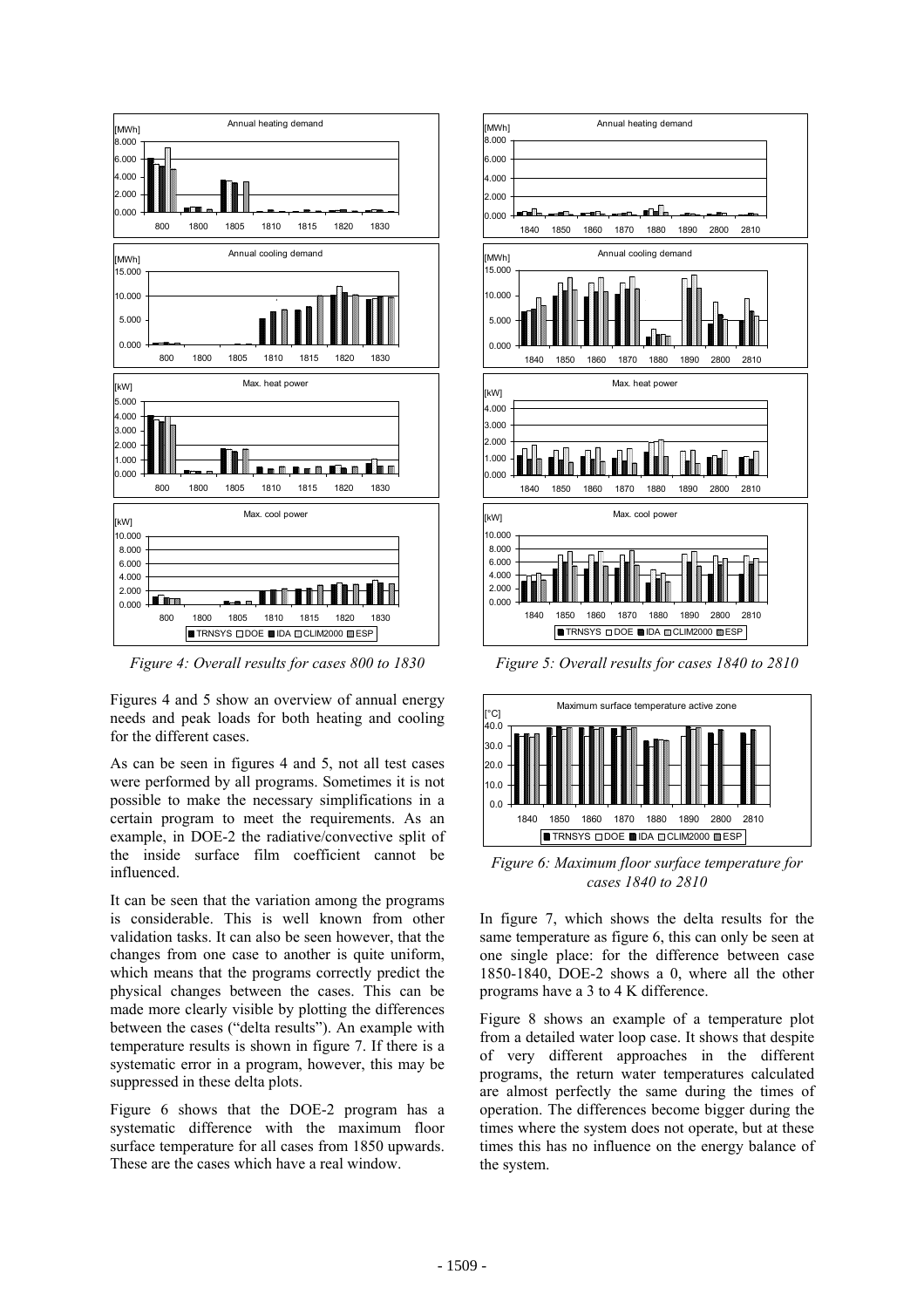

*Figure 4: Overall results for cases 800 to 1830* 

Figures 4 and 5 show an overview of annual energy needs and peak loads for both heating and cooling for the different cases.

As can be seen in figures 4 and 5, not all test cases were performed by all programs. Sometimes it is not possible to make the necessary simplifications in a certain program to meet the requirements. As an example, in DOE-2 the radiative/convective split of the inside surface film coefficient cannot be influenced.

It can be seen that the variation among the programs is considerable. This is well known from other validation tasks. It can also be seen however, that the changes from one case to another is quite uniform, which means that the programs correctly predict the physical changes between the cases. This can be made more clearly visible by plotting the differences between the cases ("delta results"). An example with temperature results is shown in figure 7. If there is a systematic error in a program, however, this may be suppressed in these delta plots.

Figure 6 shows that the DOE-2 program has a systematic difference with the maximum floor surface temperature for all cases from 1850 upwards. These are the cases which have a real window.



*Figure 5: Overall results for cases 1840 to 2810* 



*Figure 6: Maximum floor surface temperature for cases 1840 to 2810* 

In figure 7, which shows the delta results for the same temperature as figure 6, this can only be seen at one single place: for the difference between case 1850-1840, DOE-2 shows a 0, where all the other programs have a 3 to 4 K difference.

Figure 8 shows an example of a temperature plot from a detailed water loop case. It shows that despite of very different approaches in the different programs, the return water temperatures calculated are almost perfectly the same during the times of operation. The differences become bigger during the times where the system does not operate, but at these times this has no influence on the energy balance of the system.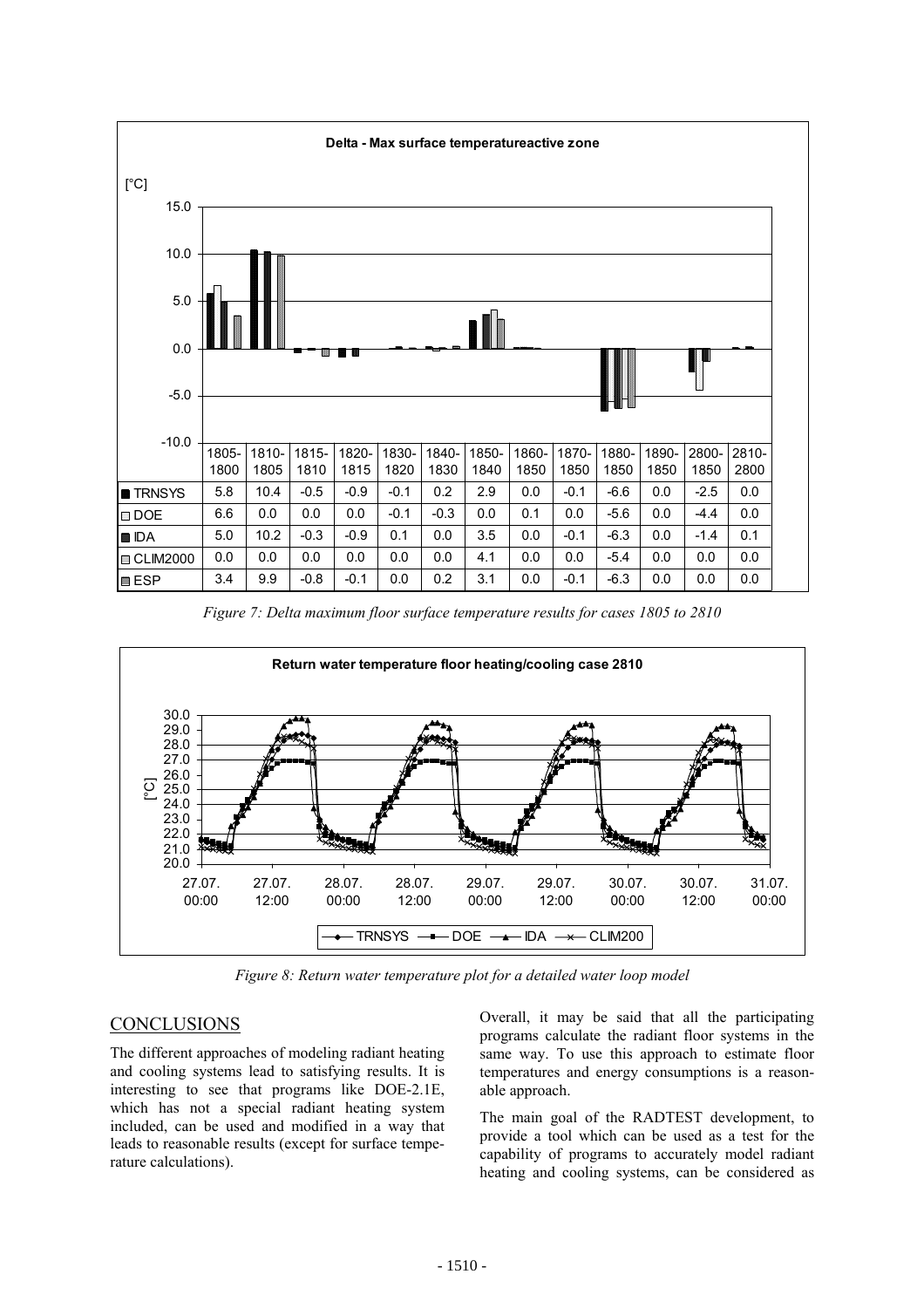

*Figure 7: Delta maximum floor surface temperature results for cases 1805 to 2810* 



*Figure 8: Return water temperature plot for a detailed water loop model* 

## **CONCLUSIONS**

The different approaches of modeling radiant heating and cooling systems lead to satisfying results. It is interesting to see that programs like DOE-2.1E, which has not a special radiant heating system included, can be used and modified in a way that leads to reasonable results (except for surface temperature calculations).

Overall, it may be said that all the participating programs calculate the radiant floor systems in the same way. To use this approach to estimate floor temperatures and energy consumptions is a reasonable approach.

The main goal of the RADTEST development, to provide a tool which can be used as a test for the capability of programs to accurately model radiant heating and cooling systems, can be considered as